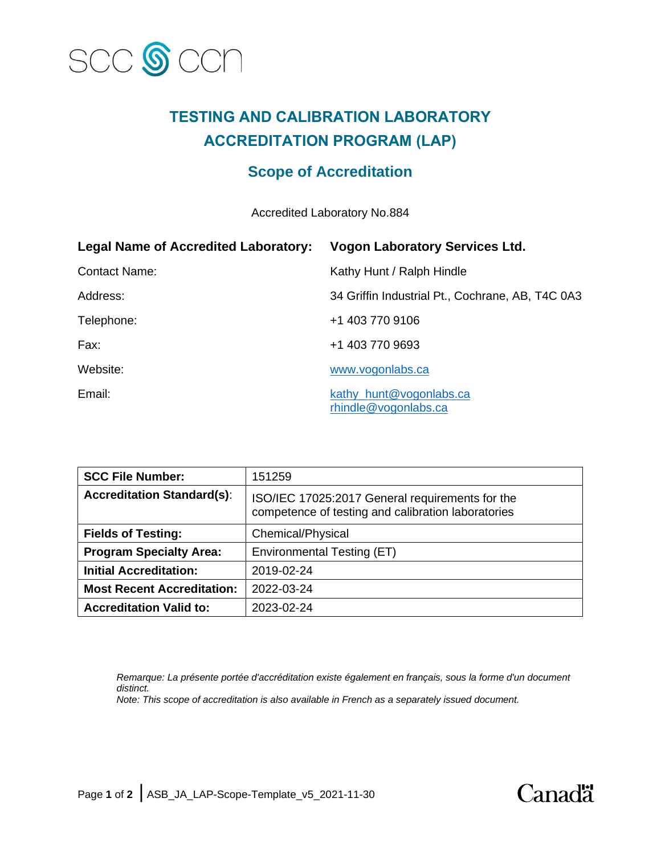

# **TESTING AND CALIBRATION LABORATORY ACCREDITATION PROGRAM (LAP)**

# **Scope of Accreditation**

Accredited Laboratory No.884

| <b>Legal Name of Accredited Laboratory:</b> | <b>Vogon Laboratory Services Ltd.</b>            |
|---------------------------------------------|--------------------------------------------------|
| <b>Contact Name:</b>                        | Kathy Hunt / Ralph Hindle                        |
| Address:                                    | 34 Griffin Industrial Pt., Cochrane, AB, T4C 0A3 |
| Telephone:                                  | +1 403 770 9106                                  |
| Fax:                                        | +1 403 770 9693                                  |
| Website:                                    | www.vogonlabs.ca                                 |
| Email:                                      | kathy_hunt@vogonlabs.ca<br>rhindle@vogonlabs.ca  |

| <b>SCC File Number:</b>           | 151259                                                                                                |
|-----------------------------------|-------------------------------------------------------------------------------------------------------|
| <b>Accreditation Standard(s):</b> | ISO/IEC 17025:2017 General requirements for the<br>competence of testing and calibration laboratories |
| <b>Fields of Testing:</b>         | Chemical/Physical                                                                                     |
| <b>Program Specialty Area:</b>    | Environmental Testing (ET)                                                                            |
| <b>Initial Accreditation:</b>     | 2019-02-24                                                                                            |
| <b>Most Recent Accreditation:</b> | 2022-03-24                                                                                            |
| <b>Accreditation Valid to:</b>    | 2023-02-24                                                                                            |

*Remarque: La présente portée d'accréditation existe également en français, sous la forme d'un document distinct. Note: This scope of accreditation is also available in French as a separately issued document.*